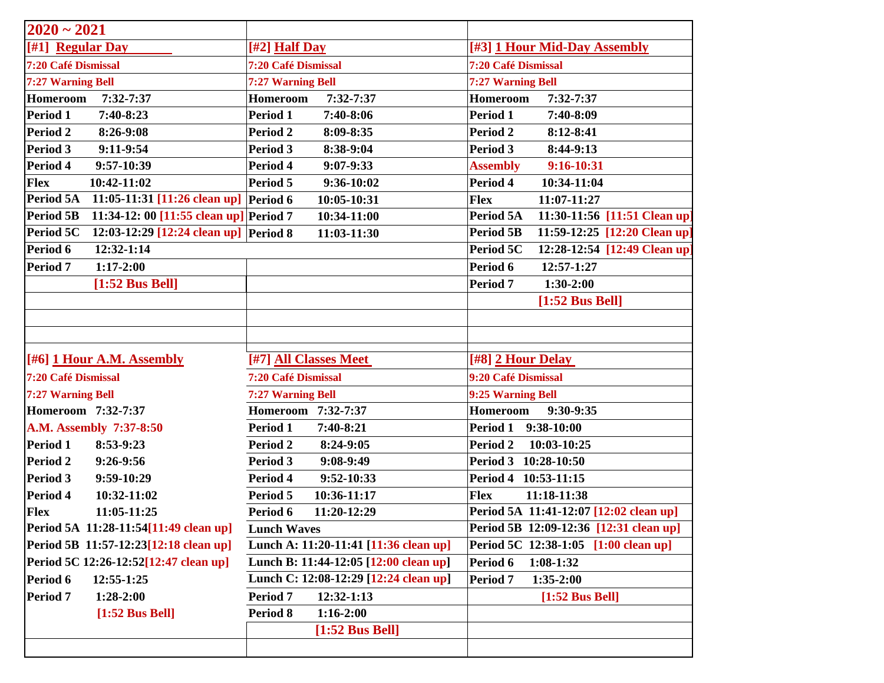| $2020 - 2021$                                              |                                       |                                                  |
|------------------------------------------------------------|---------------------------------------|--------------------------------------------------|
| [#1] Regular Day                                           | [#2] Half Day                         | [#3] 1 Hour Mid-Day Assembly                     |
| 7:20 Café Dismissal                                        | 7:20 Café Dismissal                   | 7:20 Café Dismissal                              |
| 7:27 Warning Bell                                          | 7:27 Warning Bell                     | 7:27 Warning Bell                                |
| <b>Homeroom</b><br>7:32-7:37                               | <b>Homeroom</b><br>7:32-7:37          | Homeroom<br>7:32-7:37                            |
| Period 1<br>7:40-8:23                                      | Period 1<br>7:40-8:06                 | Period 1<br>7:40-8:09                            |
| <b>Period 2</b><br>8:26-9:08                               | Period 2<br>8:09-8:35                 | Period 2<br>8:12-8:41                            |
| Period 3<br>9:11-9:54                                      | Period 3<br>8:38-9:04                 | Period 3<br>8:44-9:13                            |
| Period 4<br>9:57-10:39                                     | Period 4<br>$9:07-9:33$               | <b>Assembly</b><br>9:16-10:31                    |
| 10:42-11:02<br><b>Flex</b>                                 | 9:36-10:02<br>Period 5                | Period 4<br>10:34-11:04                          |
| Period 5A<br>11:05-11:31 [11:26 clean up] Period 6         | 10:05-10:31                           | <b>Flex</b><br>11:07-11:27                       |
| 11:34-12: 00 [11:55 clean up] Period 7<br><b>Period 5B</b> | 10:34-11:00                           | Period 5A<br>11:30-11:56 [11:51 Clean up]        |
| 12:03-12:29 [12:24 clean up] Period 8<br>Period 5C         | 11:03-11:30                           | 11:59-12:25 [12:20 Clean up]<br><b>Period 5B</b> |
| Period 6<br>12:32-1:14                                     |                                       | 12:28-12:54 [12:49 Clean up]<br>Period 5C        |
| Period 7<br>$1:17-2:00$                                    |                                       | Period 6<br>12:57-1:27                           |
| $[1:52$ Bus Bell]                                          |                                       | $1:30-2:00$<br>Period 7                          |
|                                                            |                                       | $[1:52$ Bus Bell]                                |
|                                                            |                                       |                                                  |
|                                                            |                                       |                                                  |
| [#6] 1 Hour A.M. Assembly                                  | [#7] All Classes Meet                 | $[#8]$ 2 Hour Delay                              |
| 7:20 Café Dismissal                                        | 7:20 Café Dismissal                   | 9:20 Café Dismissal                              |
| 7:27 Warning Bell                                          | 7:27 Warning Bell                     | 9:25 Warning Bell                                |
| Homeroom 7:32-7:37                                         | Homeroom 7:32-7:37                    | 9:30-9:35<br><b>Homeroom</b>                     |
| A.M. Assembly 7:37-8:50                                    | Period 1<br>7:40-8:21                 | Period 1 9:38-10:00                              |
| Period 1<br>8:53-9:23                                      | Period 2<br>8:24-9:05                 | Period <sub>2</sub><br>10:03-10:25               |
| <b>Period 2</b><br>9:26-9:56                               | 9:08-9:49<br>Period 3                 | Period 3 10:28-10:50                             |
| <b>Period 3</b><br>9:59-10:29                              | 9:52-10:33<br>Period 4                | Period 4 10:53-11:15                             |
| Period 4<br>10:32-11:02                                    | Period 5<br>10:36-11:17               | <b>Flex</b><br>11:18-11:38                       |
| <b>Flex</b><br>11:05-11:25                                 | 11:20-12:29<br>Period 6               | Period 5A 11:41-12:07 [12:02 clean up]           |
| Period 5A 11:28-11:54[11:49 clean up]                      | <b>Lunch Waves</b>                    | Period 5B 12:09-12:36 [12:31 clean up]           |
| Period 5B 11:57-12:23[12:18 clean up]                      | Lunch A: 11:20-11:41 [11:36 clean up] | Period 5C 12:38-1:05 [1:00 clean up]             |
| Period 5C 12:26-12:52[12:47 clean up]                      | Lunch B: 11:44-12:05 [12:00 clean up] | Period 6<br>$1:08-1:32$                          |
| Period 6<br>12:55-1:25                                     | Lunch C: 12:08-12:29 [12:24 clean up] | Period 7<br>$1:35-2:00$                          |
| Period 7<br>$1:28-2:00$                                    | Period 7<br>$12:32-1:13$              | $[1:52$ Bus Bell]                                |
| $[1:52$ Bus Bell]                                          | Period 8<br>$1:16-2:00$               |                                                  |
|                                                            | $[1:52$ Bus Bell]                     |                                                  |
|                                                            |                                       |                                                  |